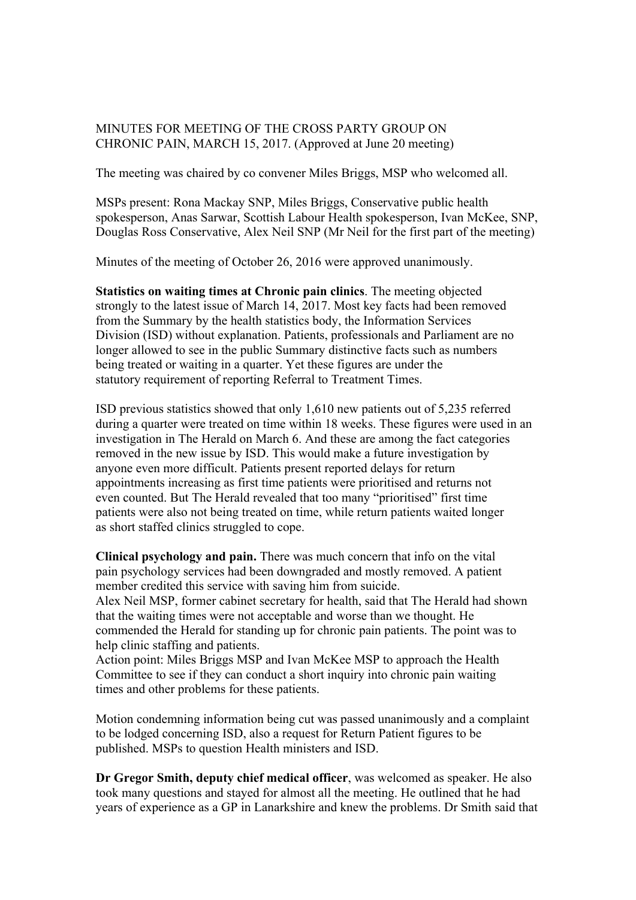## MINUTES FOR MEETING OF THE CROSS PARTY GROUP ON CHRONIC PAIN, MARCH 15, 2017. (Approved at June 20 meeting)

The meeting was chaired by co convener Miles Briggs, MSP who welcomed all.

MSPs present: Rona Mackay SNP, Miles Briggs, Conservative public health spokesperson, Anas Sarwar, Scottish Labour Health spokesperson, Ivan McKee, SNP, Douglas Ross Conservative, Alex Neil SNP (Mr Neil for the first part of the meeting)

Minutes of the meeting of October 26, 2016 were approved unanimously.

**Statistics on waiting times at Chronic pain clinics**. The meeting objected strongly to the latest issue of March 14, 2017. Most key facts had been removed from the Summary by the health statistics body, the Information Services Division (ISD) without explanation. Patients, professionals and Parliament are no longer allowed to see in the public Summary distinctive facts such as numbers being treated or waiting in a quarter. Yet these figures are under the statutory requirement of reporting Referral to Treatment Times.

ISD previous statistics showed that only 1,610 new patients out of 5,235 referred during a quarter were treated on time within 18 weeks. These figures were used in an investigation in The Herald on March 6. And these are among the fact categories removed in the new issue by ISD. This would make a future investigation by anyone even more difficult. Patients present reported delays for return appointments increasing as first time patients were prioritised and returns not even counted. But The Herald revealed that too many "prioritised" first time patients were also not being treated on time, while return patients waited longer as short staffed clinics struggled to cope.

**Clinical psychology and pain.** There was much concern that info on the vital pain psychology services had been downgraded and mostly removed. A patient member credited this service with saving him from suicide.

Alex Neil MSP, former cabinet secretary for health, said that The Herald had shown that the waiting times were not acceptable and worse than we thought. He commended the Herald for standing up for chronic pain patients. The point was to help clinic staffing and patients.

Action point: Miles Briggs MSP and Ivan McKee MSP to approach the Health Committee to see if they can conduct a short inquiry into chronic pain waiting times and other problems for these patients.

Motion condemning information being cut was passed unanimously and a complaint to be lodged concerning ISD, also a request for Return Patient figures to be published. MSPs to question Health ministers and ISD.

**Dr Gregor Smith, deputy chief medical officer**, was welcomed as speaker. He also took many questions and stayed for almost all the meeting. He outlined that he had years of experience as a GP in Lanarkshire and knew the problems. Dr Smith said that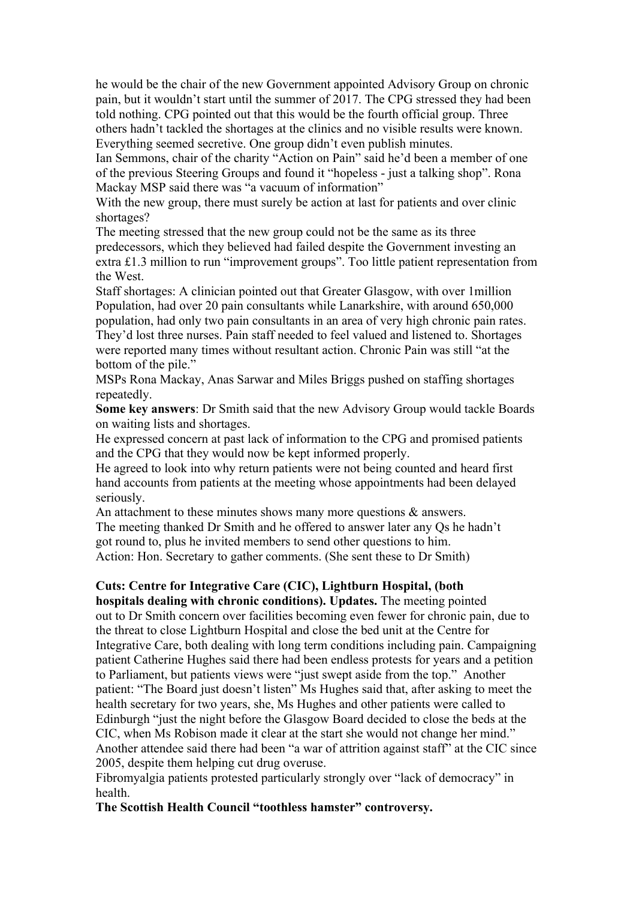he would be the chair of the new Government appointed Advisory Group on chronic pain, but it wouldn't start until the summer of 2017. The CPG stressed they had been told nothing. CPG pointed out that this would be the fourth official group. Three others hadn't tackled the shortages at the clinics and no visible results were known. Everything seemed secretive. One group didn't even publish minutes.

Ian Semmons, chair of the charity "Action on Pain" said he'd been a member of one of the previous Steering Groups and found it "hopeless - just a talking shop". Rona Mackay MSP said there was "a vacuum of information"

With the new group, there must surely be action at last for patients and over clinic shortages?

The meeting stressed that the new group could not be the same as its three predecessors, which they believed had failed despite the Government investing an extra £1.3 million to run "improvement groups". Too little patient representation from the West.

Staff shortages: A clinician pointed out that Greater Glasgow, with over 1million Population, had over 20 pain consultants while Lanarkshire, with around 650,000 population, had only two pain consultants in an area of very high chronic pain rates. They'd lost three nurses. Pain staff needed to feel valued and listened to. Shortages were reported many times without resultant action. Chronic Pain was still "at the bottom of the pile."

MSPs Rona Mackay, Anas Sarwar and Miles Briggs pushed on staffing shortages repeatedly.

**Some key answers**: Dr Smith said that the new Advisory Group would tackle Boards on waiting lists and shortages.

He expressed concern at past lack of information to the CPG and promised patients and the CPG that they would now be kept informed properly.

He agreed to look into why return patients were not being counted and heard first hand accounts from patients at the meeting whose appointments had been delayed seriously.

An attachment to these minutes shows many more questions  $\&$  answers. The meeting thanked Dr Smith and he offered to answer later any Qs he hadn't got round to, plus he invited members to send other questions to him. Action: Hon. Secretary to gather comments. (She sent these to Dr Smith)

## **Cuts: Centre for Integrative Care (CIC), Lightburn Hospital, (both**

**hospitals dealing with chronic conditions). Updates.** The meeting pointed out to Dr Smith concern over facilities becoming even fewer for chronic pain, due to the threat to close Lightburn Hospital and close the bed unit at the Centre for Integrative Care, both dealing with long term conditions including pain. Campaigning patient Catherine Hughes said there had been endless protests for years and a petition to Parliament, but patients views were "just swept aside from the top." Another patient: "The Board just doesn't listen" Ms Hughes said that, after asking to meet the health secretary for two years, she, Ms Hughes and other patients were called to Edinburgh "just the night before the Glasgow Board decided to close the beds at the CIC, when Ms Robison made it clear at the start she would not change her mind." Another attendee said there had been "a war of attrition against staff" at the CIC since 2005, despite them helping cut drug overuse.

Fibromyalgia patients protested particularly strongly over "lack of democracy" in health.

**The Scottish Health Council "toothless hamster" controversy.**